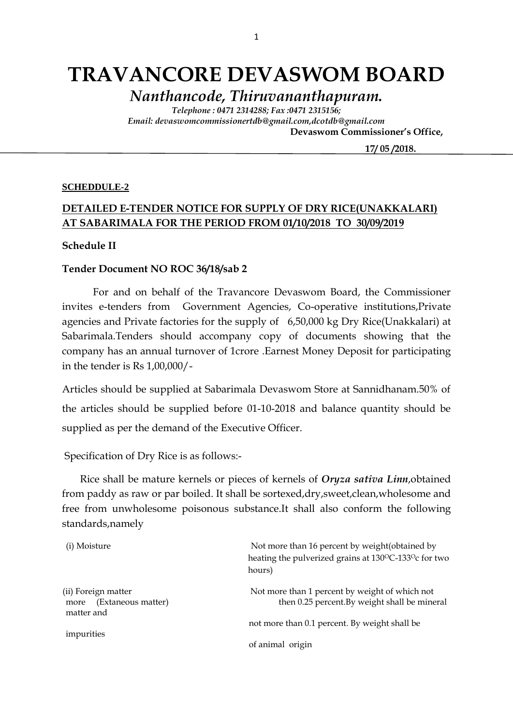# **TRAVANCORE DEVASWOM BOARD**

*Nanthancode, Thiruvananthapuram.*

*Telephone : 0471 2314288; Fax :0471 2315156; Email: devaswomcommissionertdb@gmail.com,dcotdb@gmail.com*  **Devaswom Commissioner's Office,**

 **17/ 05 /2018.**

#### **SCHEDDULE-2**

## **DETAILED E-TENDER NOTICE FOR SUPPLY OF DRY RICE(UNAKKALARI) AT SABARIMALA FOR THE PERIOD FROM 01/10/2018 TO 30/09/2019**

#### **Schedule II**

#### **Tender Document NO ROC 36/18/sab 2**

For and on behalf of the Travancore Devaswom Board, the Commissioner invites e-tenders from Government Agencies, Co-operative institutions,Private agencies and Private factories for the supply of 6,50,000 kg Dry Rice(Unakkalari) at Sabarimala.Tenders should accompany copy of documents showing that the company has an annual turnover of 1crore .Earnest Money Deposit for participating in the tender is Rs 1,00,000/-

Articles should be supplied at Sabarimala Devaswom Store at Sannidhanam.50% of the articles should be supplied before 01-10-2018 and balance quantity should be supplied as per the demand of the Executive Officer.

Specification of Dry Rice is as follows:-

 Rice shall be mature kernels or pieces of kernels of *Oryza sativa Linn*,obtained from paddy as raw or par boiled. It shall be sortexed,dry,sweet,clean,wholesome and free from unwholesome poisonous substance.It shall also conform the following standards,namely

| (i) Moisture                                                    | Not more than 16 percent by weight (obtained by<br>heating the pulverized grains at 130°C-133°c for two<br>hours) |
|-----------------------------------------------------------------|-------------------------------------------------------------------------------------------------------------------|
| (ii) Foreign matter<br>(Extaneous matter)<br>more<br>matter and | Not more than 1 percent by weight of which not<br>then 0.25 percent.By weight shall be mineral                    |
| impurities                                                      | not more than 0.1 percent. By weight shall be                                                                     |
|                                                                 | of animal origin                                                                                                  |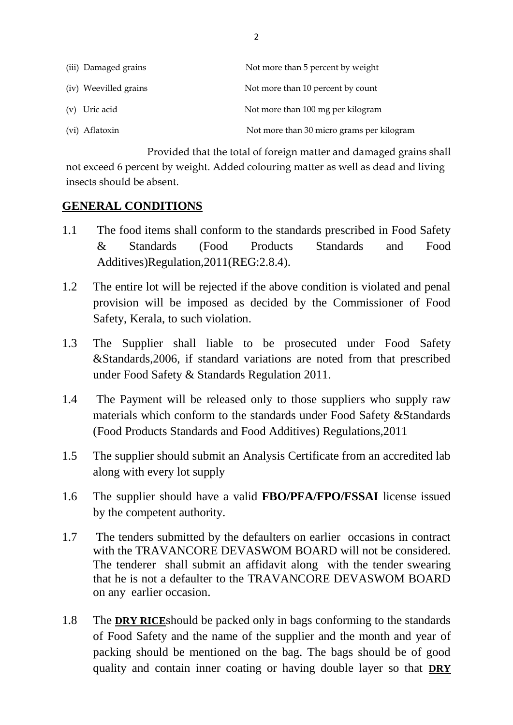| (iii) Damaged grains  | Not more than 5 percent by weight         |
|-----------------------|-------------------------------------------|
| (iv) Weevilled grains | Not more than 10 percent by count         |
| (v) Uric acid         | Not more than 100 mg per kilogram         |
| (vi) Aflatoxin        | Not more than 30 micro grams per kilogram |

 Provided that the total of foreign matter and damaged grains shall not exceed 6 percent by weight. Added colouring matter as well as dead and living insects should be absent.

## **GENERAL CONDITIONS**

- 1.1 The food items shall conform to the standards prescribed in Food Safety & Standards (Food Products Standards and Food Additives)Regulation,2011(REG:2.8.4).
- 1.2 The entire lot will be rejected if the above condition is violated and penal provision will be imposed as decided by the Commissioner of Food Safety, Kerala, to such violation.
- 1.3 The Supplier shall liable to be prosecuted under Food Safety &Standards,2006, if standard variations are noted from that prescribed under Food Safety & Standards Regulation 2011.
- 1.4 The Payment will be released only to those suppliers who supply raw materials which conform to the standards under Food Safety &Standards (Food Products Standards and Food Additives) Regulations,2011
- 1.5 The supplier should submit an Analysis Certificate from an accredited lab along with every lot supply
- 1.6 The supplier should have a valid **FBO/PFA/FPO/FSSAI** license issued by the competent authority.
- 1.7 The tenders submitted by the defaulters on earlier occasions in contract with the TRAVANCORE DEVASWOM BOARD will not be considered. The tenderer shall submit an affidavit along with the tender swearing that he is not a defaulter to the TRAVANCORE DEVASWOM BOARD on any earlier occasion.
- 1.8 The **DRY RICE**should be packed only in bags conforming to the standards of Food Safety and the name of the supplier and the month and year of packing should be mentioned on the bag. The bags should be of good quality and contain inner coating or having double layer so that **DRY**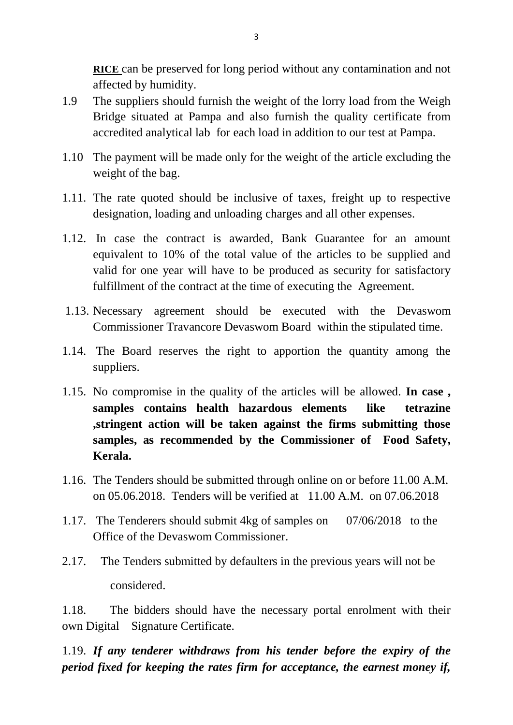**RICE** can be preserved for long period without any contamination and not affected by humidity.

- 1.9 The suppliers should furnish the weight of the lorry load from the Weigh Bridge situated at Pampa and also furnish the quality certificate from accredited analytical lab for each load in addition to our test at Pampa.
- 1.10 The payment will be made only for the weight of the article excluding the weight of the bag.
- 1.11. The rate quoted should be inclusive of taxes, freight up to respective designation, loading and unloading charges and all other expenses.
- 1.12. In case the contract is awarded, Bank Guarantee for an amount equivalent to 10% of the total value of the articles to be supplied and valid for one year will have to be produced as security for satisfactory fulfillment of the contract at the time of executing the Agreement.
- 1.13. Necessary agreement should be executed with the Devaswom Commissioner Travancore Devaswom Board within the stipulated time.
- 1.14. The Board reserves the right to apportion the quantity among the suppliers.
- 1.15. No compromise in the quality of the articles will be allowed. **In case , samples contains health hazardous elements like tetrazine ,stringent action will be taken against the firms submitting those samples, as recommended by the Commissioner of Food Safety, Kerala.**
- 1.16. The Tenders should be submitted through online on or before 11.00 A.M. on 05.06.2018. Tenders will be verified at 11.00 A.M. on 07.06.2018
- 1.17. The Tenderers should submit 4kg of samples on 07/06/2018 to the Office of the Devaswom Commissioner.
- 2.17. The Tenders submitted by defaulters in the previous years will not be considered.

1.18. The bidders should have the necessary portal enrolment with their own Digital Signature Certificate.

1.19. *If any tenderer withdraws from his tender before the expiry of the period fixed for keeping the rates firm for acceptance, the earnest money if,*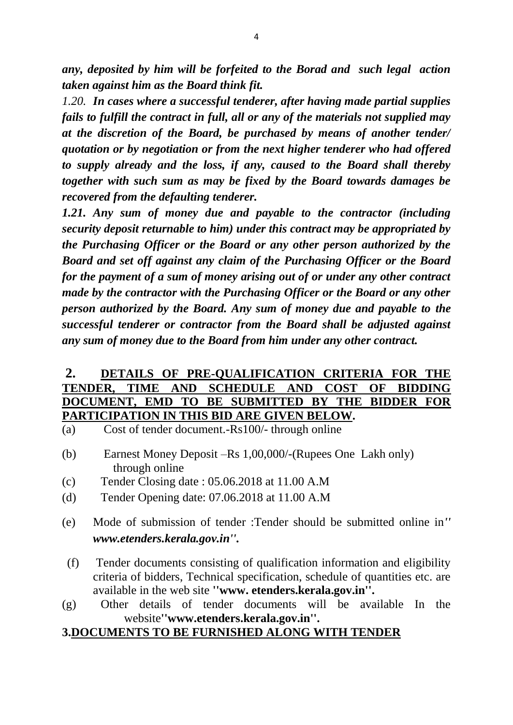*any, deposited by him will be forfeited to the Borad and such legal action taken against him as the Board think fit.*

*1.20. In cases where a successful tenderer, after having made partial supplies fails to fulfill the contract in full, all or any of the materials not supplied may at the discretion of the Board, be purchased by means of another tender/ quotation or by negotiation or from the next higher tenderer who had offered to supply already and the loss, if any, caused to the Board shall thereby together with such sum as may be fixed by the Board towards damages be recovered from the defaulting tenderer.*

*1.21. Any sum of money due and payable to the contractor (including security deposit returnable to him) under this contract may be appropriated by the Purchasing Officer or the Board or any other person authorized by the Board and set off against any claim of the Purchasing Officer or the Board for the payment of a sum of money arising out of or under any other contract made by the contractor with the Purchasing Officer or the Board or any other person authorized by the Board. Any sum of money due and payable to the successful tenderer or contractor from the Board shall be adjusted against any sum of money due to the Board from him under any other contract.*

## **2. DETAILS OF PRE-QUALIFICATION CRITERIA FOR THE TENDER, TIME AND SCHEDULE AND COST OF BIDDING DOCUMENT, EMD TO BE SUBMITTED BY THE BIDDER FOR PARTICIPATION IN THIS BID ARE GIVEN BELOW.**

- (a) Cost of tender document.-Rs100/- through online
- (b) Earnest Money Deposit –Rs 1,00,000/-(Rupees One Lakh only) through online
- (c) Tender Closing date : 05.06.2018 at 11.00 A.M
- (d) Tender Opening date: 07.06.2018 at 11.00 A.M
- (e) Mode of submission of tender :Tender should be submitted online in*'' www.etenders.kerala.gov.in''.*
- (f) Tender documents consisting of qualification information and eligibility criteria of bidders, Technical specification, schedule of quantities etc. are available in the web site **''www. etenders.kerala.gov.in''.**
- (g) Other details of tender documents will be available In the website**''www.etenders.kerala.gov.in''.**

### **3.DOCUMENTS TO BE FURNISHED ALONG WITH TENDER**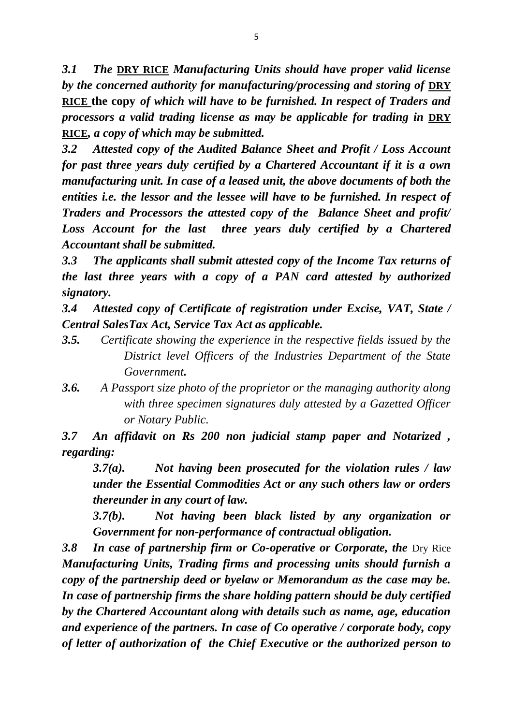*3.1 The* **DRY RICE** *Manufacturing Units should have proper valid license by the concerned authority for manufacturing/processing and storing of* **DRY RICE the copy** *of which will have to be furnished. In respect of Traders and processors a valid trading license as may be applicable for trading in DRY* **RICE***, a copy of which may be submitted.*

*3.2 Attested copy of the Audited Balance Sheet and Profit / Loss Account for past three years duly certified by a Chartered Accountant if it is a own manufacturing unit. In case of a leased unit, the above documents of both the entities i.e. the lessor and the lessee will have to be furnished. In respect of Traders and Processors the attested copy of the Balance Sheet and profit/*  Loss Account for the last three years duly certified by a Chartered *Accountant shall be submitted.*

*3.3 The applicants shall submit attested copy of the Income Tax returns of the last three years with a copy of a PAN card attested by authorized signatory.*

*3.4 Attested copy of Certificate of registration under Excise, VAT, State / Central SalesTax Act, Service Tax Act as applicable.*

- *3.5. Certificate showing the experience in the respective fields issued by the District level Officers of the Industries Department of the State Government.*
- *3.6. A Passport size photo of the proprietor or the managing authority along with three specimen signatures duly attested by a Gazetted Officer or Notary Public.*

*3.7 An affidavit on Rs 200 non judicial stamp paper and Notarized , regarding:*

*3.7(a). Not having been prosecuted for the violation rules / law under the Essential Commodities Act or any such others law or orders thereunder in any court of law.*

*3.7(b). Not having been black listed by any organization or Government for non-performance of contractual obligation.*

**3.8 In case of partnership firm or Co-operative or Corporate, the Dry Rice** *Manufacturing Units, Trading firms and processing units should furnish a copy of the partnership deed or byelaw or Memorandum as the case may be. In case of partnership firms the share holding pattern should be duly certified by the Chartered Accountant along with details such as name, age, education and experience of the partners. In case of Co operative / corporate body, copy of letter of authorization of the Chief Executive or the authorized person to*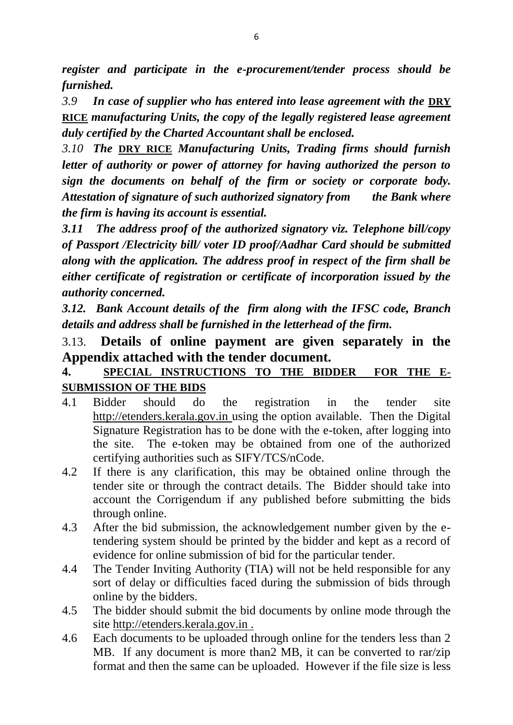*register and participate in the e-procurement/tender process should be furnished.*

*3.9 In case of supplier who has entered into lease agreement with the* **DRY RICE** *manufacturing Units, the copy of the legally registered lease agreement duly certified by the Charted Accountant shall be enclosed.*

*3.10 The* **DRY RICE** *Manufacturing Units, Trading firms should furnish letter of authority or power of attorney for having authorized the person to sign the documents on behalf of the firm or society or corporate body. Attestation of signature of such authorized signatory from the Bank where the firm is having its account is essential.*

*3.11 The address proof of the authorized signatory viz. Telephone bill/copy of Passport /Electricity bill/ voter ID proof/Aadhar Card should be submitted along with the application. The address proof in respect of the firm shall be either certificate of registration or certificate of incorporation issued by the authority concerned.*

*3.12. Bank Account details of the firm along with the IFSC code, Branch details and address shall be furnished in the letterhead of the firm.*

# 3.13. **Details of online payment are given separately in the Appendix attached with the tender document.**

# **4. SPECIAL INSTRUCTIONS TO THE BIDDER FOR THE E-SUBMISSION OF THE BIDS**

- 4.1 Bidder should do the registration in the tender site http://etenders.kerala.gov.in using the option available. Then the Digital Signature Registration has to be done with the e-token, after logging into the site. The e-token may be obtained from one of the authorized certifying authorities such as SIFY/TCS/nCode.
- 4.2 If there is any clarification, this may be obtained online through the tender site or through the contract details. The Bidder should take into account the Corrigendum if any published before submitting the bids through online.
- 4.3 After the bid submission, the acknowledgement number given by the etendering system should be printed by the bidder and kept as a record of evidence for online submission of bid for the particular tender.
- 4.4 The Tender Inviting Authority (TIA) will not be held responsible for any sort of delay or difficulties faced during the submission of bids through online by the bidders.
- 4.5 The bidder should submit the bid documents by online mode through the site http://etenders.kerala.gov.in .
- 4.6 Each documents to be uploaded through online for the tenders less than 2 MB. If any document is more than2 MB, it can be converted to rar/zip format and then the same can be uploaded. However if the file size is less